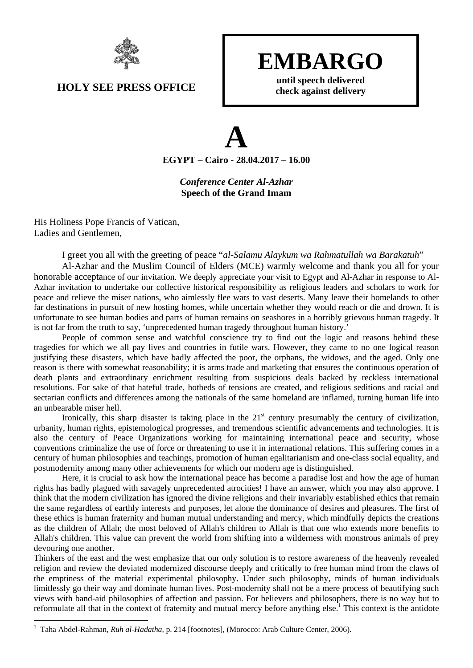

## **EMBARGO**

**until speech delivered check against delivery** 

## **HOLY SEE PRESS OFFICE**

**A EGYPT – Cairo - 28.04.2017 – 16.00** 

> *Conference Center Al***-***Azhar*  **Speech of the Grand Imam**

His Holiness Pope Francis of Vatican, Ladies and Gentlemen,

 $\overline{a}$ 

I greet you all with the greeting of peace "*al-Salamu Alaykum wa Rahmatullah wa Barakatuh*"

 Al-Azhar and the Muslim Council of Elders (MCE) warmly welcome and thank you all for your honorable acceptance of our invitation. We deeply appreciate your visit to Egypt and Al-Azhar in response to Al-Azhar invitation to undertake our collective historical responsibility as religious leaders and scholars to work for peace and relieve the miser nations, who aimlessly flee wars to vast deserts. Many leave their homelands to other far destinations in pursuit of new hosting homes, while uncertain whether they would reach or die and drown. It is unfortunate to see human bodies and parts of human remains on seashores in a horribly grievous human tragedy. It is not far from the truth to say, 'unprecedented human tragedy throughout human history.'

 People of common sense and watchful conscience try to find out the logic and reasons behind these tragedies for which we all pay lives and countries in futile wars. However, they came to no one logical reason justifying these disasters, which have badly affected the poor, the orphans, the widows, and the aged. Only one reason is there with somewhat reasonability; it is arms trade and marketing that ensures the continuous operation of death plants and extraordinary enrichment resulting from suspicious deals backed by reckless international resolutions. For sake of that hateful trade, hotbeds of tensions are created, and religious seditions and racial and sectarian conflicts and differences among the nationals of the same homeland are inflamed, turning human life into an unbearable miser hell.

Ironically, this sharp disaster is taking place in the  $21<sup>st</sup>$  century presumably the century of civilization, urbanity, human rights, epistemological progresses, and tremendous scientific advancements and technologies. It is also the century of Peace Organizations working for maintaining international peace and security, whose conventions criminalize the use of force or threatening to use it in international relations. This suffering comes in a century of human philosophies and teachings, promotion of human egalitarianism and one-class social equality, and postmodernity among many other achievements for which our modern age is distinguished.

 Here, it is crucial to ask how the international peace has become a paradise lost and how the age of human rights has badly plagued with savagely unprecedented atrocities! I have an answer, which you may also approve. I think that the modern civilization has ignored the divine religions and their invariably established ethics that remain the same regardless of earthly interests and purposes, let alone the dominance of desires and pleasures. The first of these ethics is human fraternity and human mutual understanding and mercy, which mindfully depicts the creations as the children of Allah; the most beloved of Allah's children to Allah is that one who extends more benefits to Allah's children. This value can prevent the world from shifting into a wilderness with monstrous animals of prey devouring one another.

Thinkers of the east and the west emphasize that our only solution is to restore awareness of the heavenly revealed religion and review the deviated modernized discourse deeply and critically to free human mind from the claws of the emptiness of the material experimental philosophy. Under such philosophy, minds of human individuals limitlessly go their way and dominate human lives. Post-modernity shall not be a mere process of beautifying such views with band-aid philosophies of affection and passion. For believers and philosophers, there is no way but to reformulate all that in the context of fraternity and mutual mercy before anything else.<sup>1</sup> This context is the antidote

<sup>1</sup> Taha Abdel-Rahman, *Ruh al-Hadatha,* p. 214 [footnotes], (Morocco: Arab Culture Center, 2006).